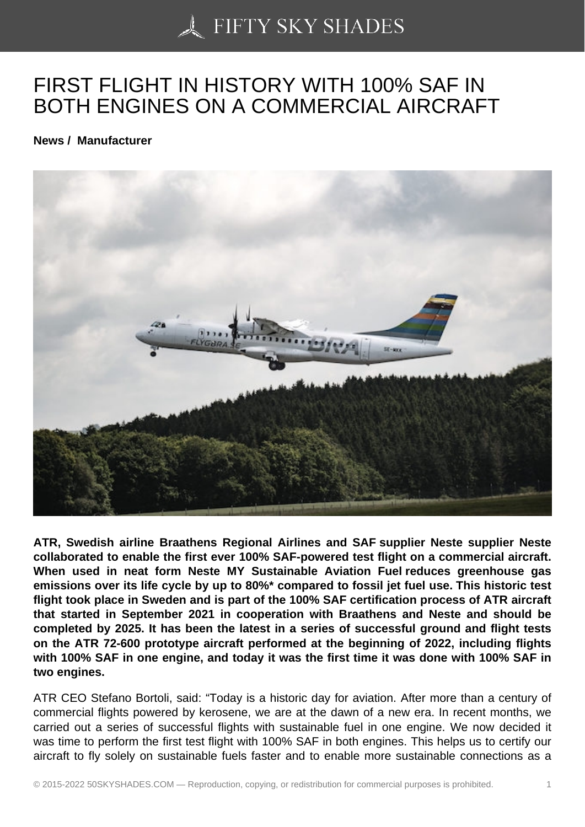## [FIRST FLIGHT IN HIST](https://50skyshades.com)ORY WITH 100% SAF IN BOTH ENGINES ON A COMMERCIAL AIRCRAFT

News / Manufacturer

ATR, Swedish airline Braathens Regional Airlines and SAF supplier Neste supplier Neste collaborated to enable the first ever 100% SAF-powered test flight on a commercial aircraft. When used in neat form Neste MY Sustainable Aviation Fuel reduces greenhouse gas emissions over its life cycle by up to 80%\* compared to fossil jet fuel use. This historic test flight took place in Sweden and is part of the 100% SAF certification process of ATR aircraft that started in September 2021 in cooperation with Braathens and Neste and should be completed by 2025. It has been the latest in a series of successful ground and flight tests on the ATR 72-600 prototype aircraft performed at the beginning of 2022, including flights with 100% SAF in one engine, and today it was the first time it was done with 100% SAF in two engines.

ATR CEO Stefano Bortoli, said: "Today is a historic day for aviation. After more than a century of commercial flights powered by kerosene, we are at the dawn of a new era. In recent months, we carried out a series of successful flights with sustainable fuel in one engine. We now decided it was time to perform the first test flight with 100% SAF in both engines. This helps us to certify our aircraft to fly solely on sustainable fuels faster and to enable more sustainable connections as a